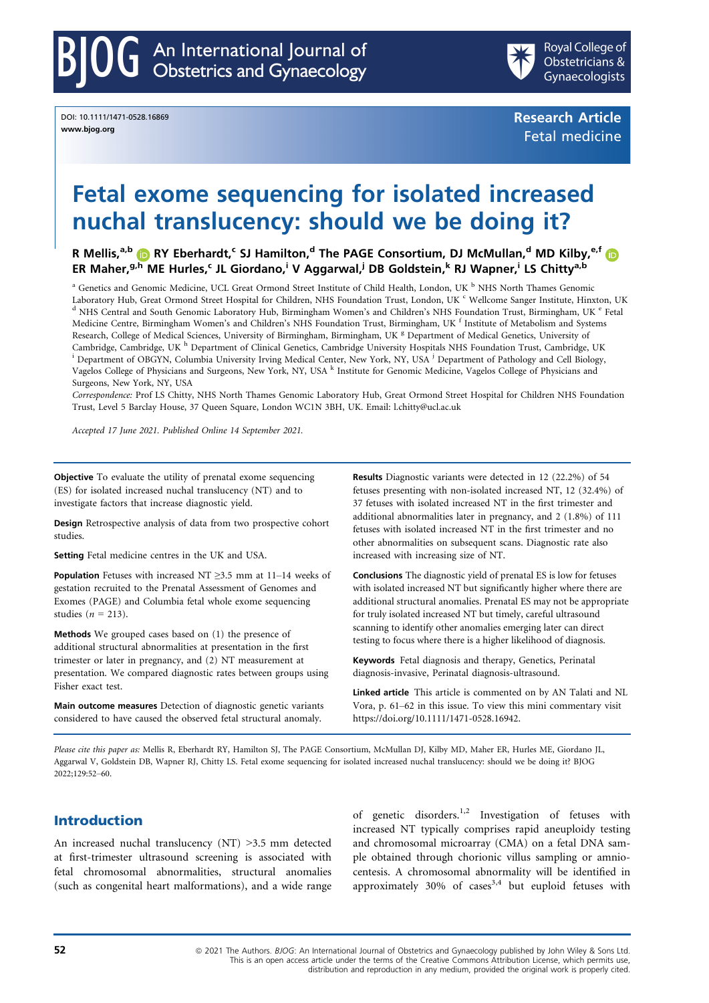DOI: 10.1111/1471-0528.16869 www.bjog.org



Research Article Fetal medicine

# Fetal exome sequencing for isolated increased nuchal translucency: should we be doing it?

R Mellis,<sup>a,b</sup> **D** RY Eberhardt,<sup>c</sup> SJ Hamilton,<sup>d</sup> The PAGE Consortium, DJ McMullan,<sup>d</sup> MD Kilby,<sup>e,[f](https://orcid.org/0000-0001-9987-4223)</sup> D ER Maher,  $g,h$  $g,h$  ME Hurles, IL Giordano,<sup>i</sup> V Aggarwal,<sup>j</sup> DB Goldstein, RJ Wapner, LS Chitty<sup>a,b</sup>

<sup>a</sup> Genetics and Genomic Medicine, UCL Great Ormond Street Institute of Child Health, London, UK <sup>b</sup> NHS North Thames Genomic<br>Laboratory Hub, Great Ormond Street Hospital for Children, NHS Foundation Trust, London, UK <sup>c</sup> <sup>d</sup> NHS Central and South Genomic Laboratory Hub, Birmingham Women's and Children's NHS Foundation Trust, Birmingham, UK <sup>e</sup> Fetal Medicine Centre, Birmingham Women's and Children's NHS Foundation Trust, Birmingham, UK f Institute of Metabolism and Systems Research, College of Medical Sciences, University of Birmingham, Birmingham, UK <sup>g</sup> Department of Medical Genetics, University of Cambridge, Cambridge, UK <sup>h</sup> Department of Clinical Genetics, Cambridge University Hospitals NHS Foundation Trust, Cambridge, UK <sup>i</sup> Department of OBGYN, Columbia University Irving Medical Center, New York, NY, USA <sup>j</sup> Dep Vagelos College of Physicians and Surgeons, New York, NY, USA <sup>k</sup> Institute for Genomic Medicine, Vagelos College of Physicians and Surgeons, New York, NY, USA

Correspondence: Prof LS Chitty, NHS North Thames Genomic Laboratory Hub, Great Ormond Street Hospital for Children NHS Foundation Trust, Level 5 Barclay House, 37 Queen Square, London WC1N 3BH, UK. Email: [l.chitty@ucl.ac.uk](mailto:)

Accepted 17 June 2021. Published Online 14 September 2021.

Objective To evaluate the utility of prenatal exome sequencing (ES) for isolated increased nuchal translucency (NT) and to investigate factors that increase diagnostic yield.

Design Retrospective analysis of data from two prospective cohort studies.

Setting Fetal medicine centres in the UK and USA.

Population Fetuses with increased NT ≥3.5 mm at 11-14 weeks of gestation recruited to the Prenatal Assessment of Genomes and Exomes (PAGE) and Columbia fetal whole exome sequencing studies ( $n = 213$ ).

Methods We grouped cases based on (1) the presence of additional structural abnormalities at presentation in the first trimester or later in pregnancy, and (2) NT measurement at presentation. We compared diagnostic rates between groups using Fisher exact test.

Main outcome measures Detection of diagnostic genetic variants considered to have caused the observed fetal structural anomaly.

Results Diagnostic variants were detected in 12 (22.2%) of 54 fetuses presenting with non-isolated increased NT, 12 (32.4%) of 37 fetuses with isolated increased NT in the first trimester and additional abnormalities later in pregnancy, and 2 (1.8%) of 111 fetuses with isolated increased NT in the first trimester and no other abnormalities on subsequent scans. Diagnostic rate also increased with increasing size of NT.

Conclusions The diagnostic yield of prenatal ES is low for fetuses with isolated increased NT but significantly higher where there are additional structural anomalies. Prenatal ES may not be appropriate for truly isolated increased NT but timely, careful ultrasound scanning to identify other anomalies emerging later can direct testing to focus where there is a higher likelihood of diagnosis.

Keywords Fetal diagnosis and therapy, Genetics, Perinatal diagnosis-invasive, Perinatal diagnosis-ultrasound.

Linked article This article is commented on by AN Talati and NL Vora, p. 61–62 in this issue. To view this mini commentary visit [https://doi.org/10.1111/1471-0528.16942.](https://doi.org/10.1111/1471-0528.16942)

Please cite this paper as: Mellis R, Eberhardt RY, Hamilton SJ, The PAGE Consortium, McMullan DJ, Kilby MD, Maher ER, Hurles ME, Giordano JL, Aggarwal V, Goldstein DB, Wapner RJ, Chitty LS. Fetal exome sequencing for isolated increased nuchal translucency: should we be doing it? BJOG 2022[;129:52](https://doi.org/10.1111/1471-0528.16869)–60.

## Introduction

An increased nuchal translucency (NT) >3.5 mm detected at first-trimester ultrasound screening is associated with fetal chromosomal abnormalities, structural anomalies (such as congenital heart malformations), and a wide range of genetic disorders.<sup>1,2</sup> Investigation of fetuses with increased NT typically comprises rapid aneuploidy testing and chromosomal microarray (CMA) on a fetal DNA sample obtained through chorionic villus sampling or amniocentesis. A chromosomal abnormality will be identified in approximately  $30\%$  of cases<sup>3,4</sup> but euploid fetuses with

52 **52 a** 2021 The Authors. BJOG: An International Journal of Obstetrics and Gynaecology published by John Wiley & Sons Ltd. This is an open access article under the terms of the Creative Commons Attribution License, which permits use, distribution and reproduction in any medium, provided the original work is properly cited.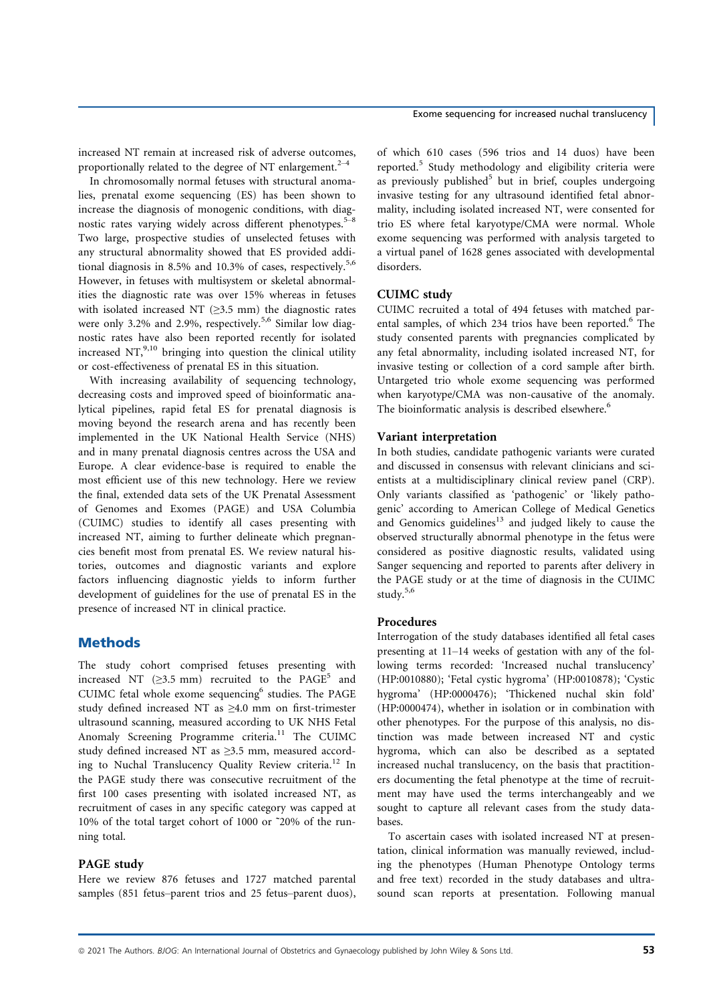increased NT remain at increased risk of adverse outcomes, proportionally related to the degree of NT enlargement.<sup>2–4</sup>

In chromosomally normal fetuses with structural anomalies, prenatal exome sequencing (ES) has been shown to increase the diagnosis of monogenic conditions, with diagnostic rates varying widely across different phenotypes.<sup>5–8</sup> Two large, prospective studies of unselected fetuses with any structural abnormality showed that ES provided additional diagnosis in 8.5% and 10.3% of cases, respectively.<sup>5,6</sup> However, in fetuses with multisystem or skeletal abnormalities the diagnostic rate was over 15% whereas in fetuses with isolated increased NT ( $\geq$ 3.5 mm) the diagnostic rates were only 3.2% and 2.9%, respectively.<sup>5,6</sup> Similar low diagnostic rates have also been reported recently for isolated increased  $NT<sub>10</sub><sup>9,10</sup>$  bringing into question the clinical utility or cost-effectiveness of prenatal ES in this situation.

With increasing availability of sequencing technology, decreasing costs and improved speed of bioinformatic analytical pipelines, rapid fetal ES for prenatal diagnosis is moving beyond the research arena and has recently been implemented in the UK National Health Service (NHS) and in many prenatal diagnosis centres across the USA and Europe. A clear evidence-base is required to enable the most efficient use of this new technology. Here we review the final, extended data sets of the UK Prenatal Assessment of Genomes and Exomes (PAGE) and USA Columbia (CUIMC) studies to identify all cases presenting with increased NT, aiming to further delineate which pregnancies benefit most from prenatal ES. We review natural histories, outcomes and diagnostic variants and explore factors influencing diagnostic yields to inform further development of guidelines for the use of prenatal ES in the presence of increased NT in clinical practice.

## **Methods**

The study cohort comprised fetuses presenting with increased NT ( $\geq$ 3.5 mm) recruited to the PAGE<sup>5</sup> and CUIMC fetal whole exome sequencing<sup>6</sup> studies. The PAGE study defined increased NT as ≥4.0 mm on first-trimester ultrasound scanning, measured according to UK NHS Fetal Anomaly Screening Programme criteria.<sup>11</sup> The CUIMC study defined increased NT as ≥3.5 mm, measured according to Nuchal Translucency Quality Review criteria.<sup>12</sup> In the PAGE study there was consecutive recruitment of the first 100 cases presenting with isolated increased NT, as recruitment of cases in any specific category was capped at 10% of the total target cohort of 1000 or ˜20% of the running total.

#### PAGE study

Here we review 876 fetuses and 1727 matched parental samples (851 fetus–parent trios and 25 fetus–parent duos), of which 610 cases (596 trios and 14 duos) have been reported.<sup>5</sup> Study methodology and eligibility criteria were as previously published<sup>5</sup> but in brief, couples undergoing invasive testing for any ultrasound identified fetal abnormality, including isolated increased NT, were consented for trio ES where fetal karyotype/CMA were normal. Whole exome sequencing was performed with analysis targeted to a virtual panel of 1628 genes associated with developmental disorders.

#### CUIMC study

CUIMC recruited a total of 494 fetuses with matched parental samples, of which 234 trios have been reported.<sup>6</sup> The study consented parents with pregnancies complicated by any fetal abnormality, including isolated increased NT, for invasive testing or collection of a cord sample after birth. Untargeted trio whole exome sequencing was performed when karyotype/CMA was non-causative of the anomaly. The bioinformatic analysis is described elsewhere.<sup>6</sup>

#### Variant interpretation

In both studies, candidate pathogenic variants were curated and discussed in consensus with relevant clinicians and scientists at a multidisciplinary clinical review panel (CRP). Only variants classified as 'pathogenic' or 'likely pathogenic' according to American College of Medical Genetics and Genomics guidelines $13$  and judged likely to cause the observed structurally abnormal phenotype in the fetus were considered as positive diagnostic results, validated using Sanger sequencing and reported to parents after delivery in the PAGE study or at the time of diagnosis in the CUIMC study.5,6

#### Procedures

Interrogation of the study databases identified all fetal cases presenting at 11–14 weeks of gestation with any of the following terms recorded: 'Increased nuchal translucency' (HP:0010880); 'Fetal cystic hygroma' (HP:0010878); 'Cystic hygroma' (HP:0000476); 'Thickened nuchal skin fold' (HP:0000474), whether in isolation or in combination with other phenotypes. For the purpose of this analysis, no distinction was made between increased NT and cystic hygroma, which can also be described as a septated increased nuchal translucency, on the basis that practitioners documenting the fetal phenotype at the time of recruitment may have used the terms interchangeably and we sought to capture all relevant cases from the study databases.

To ascertain cases with isolated increased NT at presentation, clinical information was manually reviewed, including the phenotypes (Human Phenotype Ontology terms and free text) recorded in the study databases and ultrasound scan reports at presentation. Following manual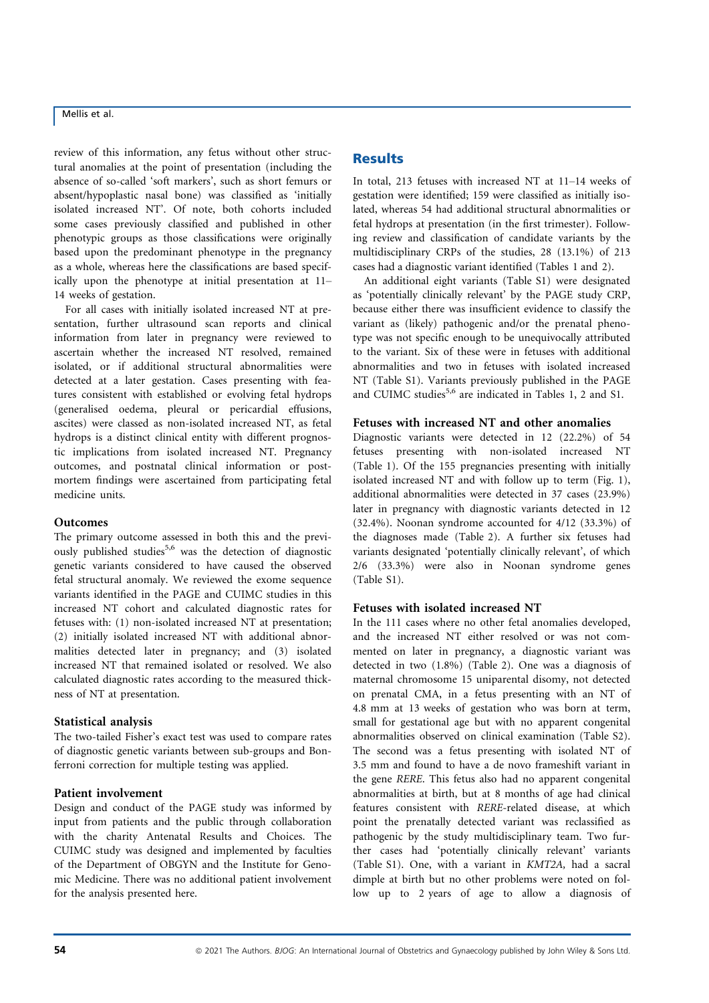review of this information, any fetus without other structural anomalies at the point of presentation (including the absence of so-called 'soft markers', such as short femurs or absent/hypoplastic nasal bone) was classified as 'initially isolated increased NT'. Of note, both cohorts included some cases previously classified and published in other phenotypic groups as those classifications were originally based upon the predominant phenotype in the pregnancy as a whole, whereas here the classifications are based specifically upon the phenotype at initial presentation at 11– 14 weeks of gestation.

For all cases with initially isolated increased NT at presentation, further ultrasound scan reports and clinical information from later in pregnancy were reviewed to ascertain whether the increased NT resolved, remained isolated, or if additional structural abnormalities were detected at a later gestation. Cases presenting with features consistent with established or evolving fetal hydrops (generalised oedema, pleural or pericardial effusions, ascites) were classed as non-isolated increased NT, as fetal hydrops is a distinct clinical entity with different prognostic implications from isolated increased NT. Pregnancy outcomes, and postnatal clinical information or postmortem findings were ascertained from participating fetal medicine units.

#### **Outcomes**

The primary outcome assessed in both this and the previously published studies<sup>5,6</sup> was the detection of diagnostic genetic variants considered to have caused the observed fetal structural anomaly. We reviewed the exome sequence variants identified in the PAGE and CUIMC studies in this increased NT cohort and calculated diagnostic rates for fetuses with: (1) non-isolated increased NT at presentation; (2) initially isolated increased NT with additional abnormalities detected later in pregnancy; and (3) isolated increased NT that remained isolated or resolved. We also calculated diagnostic rates according to the measured thickness of NT at presentation.

## Statistical analysis

The two-tailed Fisher's exact test was used to compare rates of diagnostic genetic variants between sub-groups and Bonferroni correction for multiple testing was applied.

## Patient involvement

Design and conduct of the PAGE study was informed by input from patients and the public through collaboration with the charity Antenatal Results and Choices. The CUIMC study was designed and implemented by faculties of the Department of OBGYN and the Institute for Genomic Medicine. There was no additional patient involvement for the analysis presented here.

## **Results**

In total, 213 fetuses with increased NT at 11–14 weeks of gestation were identified; 159 were classified as initially isolated, whereas 54 had additional structural abnormalities or fetal hydrops at presentation (in the first trimester). Following review and classification of candidate variants by the multidisciplinary CRPs of the studies, 28 (13.1%) of 213 cases had a diagnostic variant identified (Tables 1 and 2).

An additional eight variants (Table S1) were designated as 'potentially clinically relevant' by the PAGE study CRP, because either there was insufficient evidence to classify the variant as (likely) pathogenic and/or the prenatal phenotype was not specific enough to be unequivocally attributed to the variant. Six of these were in fetuses with additional abnormalities and two in fetuses with isolated increased NT (Table S1). Variants previously published in the PAGE and CUIMC studies<sup>5,6</sup> are indicated in Tables 1, 2 and S1.

## Fetuses with increased NT and other anomalies

Diagnostic variants were detected in 12 (22.2%) of 54 fetuses presenting with non-isolated increased NT (Table 1). Of the 155 pregnancies presenting with initially isolated increased NT and with follow up to term (Fig. 1), additional abnormalities were detected in 37 cases (23.9%) later in pregnancy with diagnostic variants detected in 12 (32.4%). Noonan syndrome accounted for 4/12 (33.3%) of the diagnoses made (Table 2). A further six fetuses had variants designated 'potentially clinically relevant', of which 2/6 (33.3%) were also in Noonan syndrome genes (Table S1).

## Fetuses with isolated increased NT

In the 111 cases where no other fetal anomalies developed, and the increased NT either resolved or was not commented on later in pregnancy, a diagnostic variant was detected in two (1.8%) (Table 2). One was a diagnosis of maternal chromosome 15 uniparental disomy, not detected on prenatal CMA, in a fetus presenting with an NT of 4.8 mm at 13 weeks of gestation who was born at term, small for gestational age but with no apparent congenital abnormalities observed on clinical examination (Table S2). The second was a fetus presenting with isolated NT of 3.5 mm and found to have a de novo frameshift variant in the gene RERE. This fetus also had no apparent congenital abnormalities at birth, but at 8 months of age had clinical features consistent with RERE-related disease, at which point the prenatally detected variant was reclassified as pathogenic by the study multidisciplinary team. Two further cases had 'potentially clinically relevant' variants (Table S1). One, with a variant in KMT2A, had a sacral dimple at birth but no other problems were noted on follow up to 2 years of age to allow a diagnosis of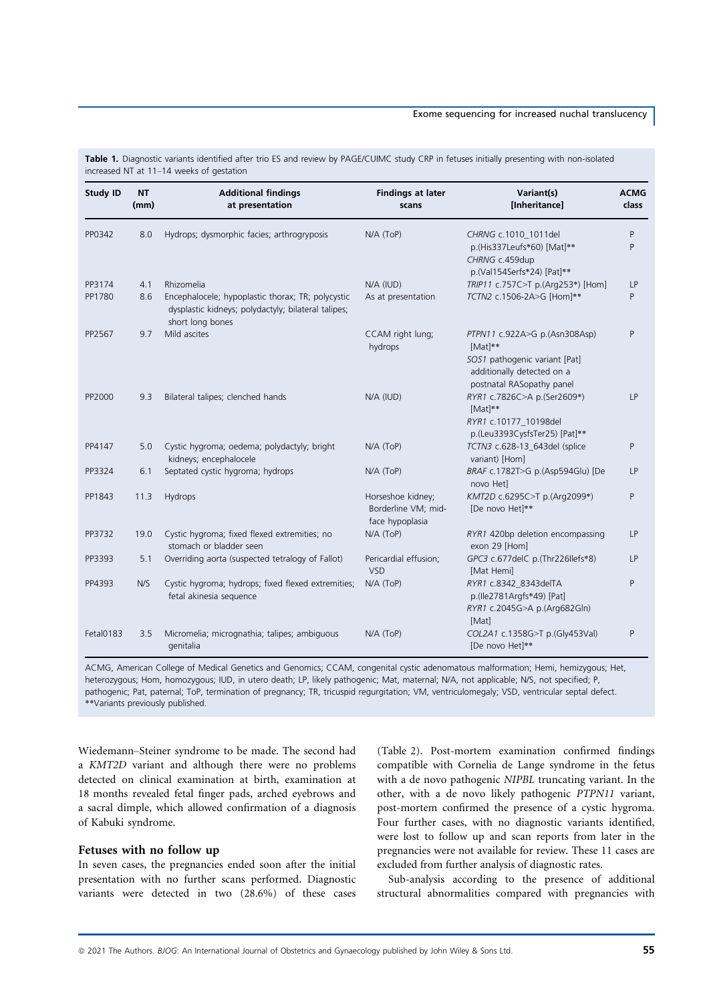#### Exome sequencing for increased nuchal translucency

| <b>Study ID</b> | <b>NT</b><br>(mm) | <b>Additional findings</b><br>at presentation                                                                                | <b>Findings at later</b><br>scans                           | Variant(s)<br>[Inheritance]                                                                                                          | <b>ACMG</b><br><b>class</b> |
|-----------------|-------------------|------------------------------------------------------------------------------------------------------------------------------|-------------------------------------------------------------|--------------------------------------------------------------------------------------------------------------------------------------|-----------------------------|
| PP0342          | 8.0               | Hydrops; dysmorphic facies; arthrogryposis                                                                                   | $N/A$ (ToP)                                                 | CHRNG c.1010 1011del<br>p.(His337Leufs*60) [Mat]**<br>CHRNG c.459dup<br>p.(Val154Serfs*24) [Pat]**                                   | P<br>P                      |
| PP3174          | 4.1               | Rhizomelia                                                                                                                   | N/A (IUD)                                                   | TRIP11 c.757C>T p.(Arg253*) [Hom]                                                                                                    | <b>LP</b>                   |
| PP1780          | 8.6               | Encephalocele; hypoplastic thorax; TR; polycystic<br>dysplastic kidneys; polydactyly; bilateral talipes;<br>short long bones | As at presentation                                          | TCTN2 c.1506-2A>G [Hom]**                                                                                                            | P                           |
| PP2567          | 9.7               | Mild ascites                                                                                                                 | CCAM right lung;<br>hydrops                                 | PTPN11 c.922A>G p.(Asn308Asp)<br>[Mat]**<br>SOS1 pathogenic variant [Pat]<br>additionally detected on a<br>postnatal RASopathy panel | P                           |
| PP2000          | 9.3               | Bilateral talipes; clenched hands                                                                                            | N/A (IUD)                                                   | RYR1 c.7826C>A p.(Ser2609*)<br>[Mat]**<br>RYR1 c.10177_10198del<br>p.(Leu3393CysfsTer25) [Pat]**                                     | <b>LP</b>                   |
| PP4147          | 5.0               | Cystic hygroma; oedema; polydactyly; bright<br>kidneys; encephalocele                                                        | $N/A$ (ToP)                                                 | TCTN3 c.628-13_643del (splice<br>variant) [Hom]                                                                                      | P                           |
| PP3324          | 6.1               | Septated cystic hygroma; hydrops                                                                                             | N/A (ToP)                                                   | BRAF c.1782T>G p.(Asp594Glu) [De<br>novo Hetl                                                                                        | <b>LP</b>                   |
| PP1843          | 11.3              | Hydrops                                                                                                                      | Horseshoe kidney;<br>Borderline VM; mid-<br>face hypoplasia | KMT2D c.6295C>T p.(Arg2099*)<br>[De novo Het]**                                                                                      | Ρ                           |
| PP3732          | 19.0              | Cystic hygroma; fixed flexed extremities; no<br>stomach or bladder seen                                                      | N/A (ToP)                                                   | RYR1 420bp deletion encompassing<br>exon 29 [Hom]                                                                                    | LP                          |
| PP3393          | 5.1               | Overriding aorta (suspected tetralogy of Fallot)                                                                             | Pericardial effusion;<br><b>VSD</b>                         | GPC3 c.677delC p.(Thr226llefs*8)<br>[Mat Hemi]                                                                                       | <b>LP</b>                   |
| PP4393          | N/S               | Cystic hygroma; hydrops; fixed flexed extremities;<br>fetal akinesia sequence                                                | N/A (ToP)                                                   | RYR1 c.8342_8343delTA<br>p.(Ile2781Argfs*49) [Pat]<br>RYR1 c.2045G>A p.(Arg682Gln)<br>[Mat]                                          | P                           |
| Fetal0183       | 3.5               | Micromelia; micrognathia; talipes; ambiguous<br>genitalia                                                                    | N/A (ToP)                                                   | COL2A1 c.1358G>T p.(Gly453Val)<br>[De novo Het]**                                                                                    | $\mathsf{P}$                |

Table 1. Diagnostic variants identified after trio ES and review by PAGE/CUIMC study CRP in fetuses initially presenting with non-isolated increased NT at 11–14 weeks of gestation

ACMG, American College of Medical Genetics and Genomics; CCAM, congenital cystic adenomatous malformation; Hemi, hemizygous; Het, heterozygous; Hom, homozygous; IUD, in utero death; LP, likely pathogenic; Mat, maternal; N/A, not applicable; N/S, not specified; P, pathogenic; Pat, paternal; ToP, termination of pregnancy; TR, tricuspid regurgitation; VM, ventriculomegaly; VSD, ventricular septal defect. \*\*Variants previously published.

Wiedemann–Steiner syndrome to be made. The second had a KMT2D variant and although there were no problems detected on clinical examination at birth, examination at 18 months revealed fetal finger pads, arched eyebrows and a sacral dimple, which allowed confirmation of a diagnosis of Kabuki syndrome.

#### Fetuses with no follow up

In seven cases, the pregnancies ended soon after the initial presentation with no further scans performed. Diagnostic variants were detected in two (28.6%) of these cases

(Table 2). Post-mortem examination confirmed findings compatible with Cornelia de Lange syndrome in the fetus with a de novo pathogenic NIPBL truncating variant. In the other, with a de novo likely pathogenic PTPN11 variant, post-mortem confirmed the presence of a cystic hygroma. Four further cases, with no diagnostic variants identified, were lost to follow up and scan reports from later in the pregnancies were not available for review. These 11 cases are excluded from further analysis of diagnostic rates.

Sub-analysis according to the presence of additional structural abnormalities compared with pregnancies with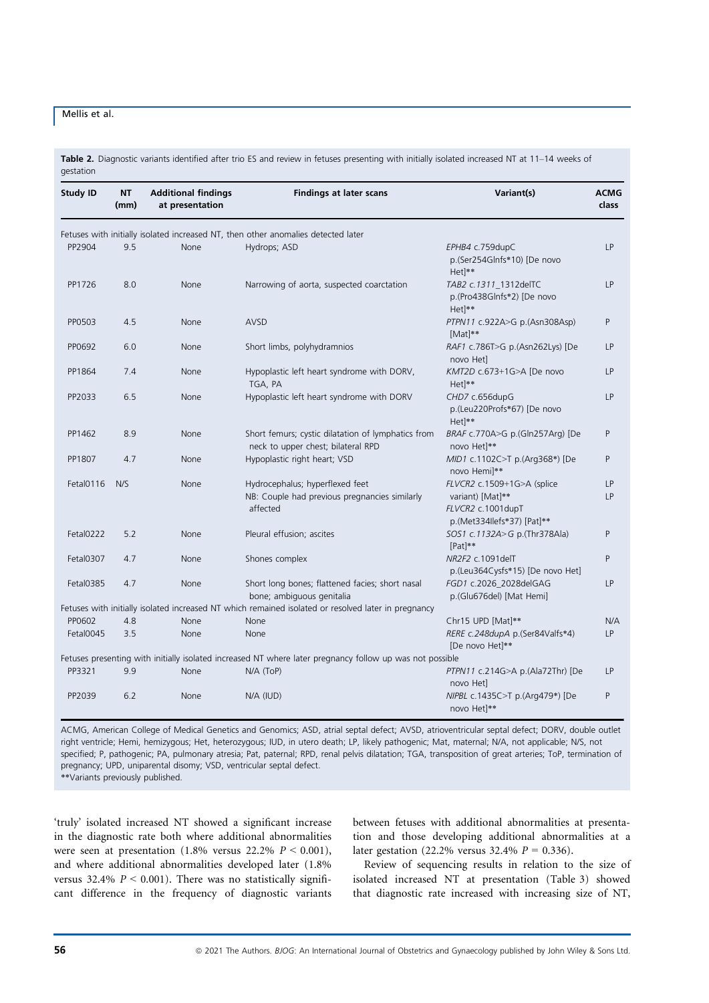Table 2. Diagnostic variants identified after trio ES and review in fetuses presenting with initially isolated increased NT at 11-14 weeks of gestation

| <b>Study ID</b> | ΝT<br>(mm) | <b>Additional findings</b><br>at presentation | <b>Findings at later scans</b>                                                                           | Variant(s)                                                               | <b>ACMG</b><br>class |
|-----------------|------------|-----------------------------------------------|----------------------------------------------------------------------------------------------------------|--------------------------------------------------------------------------|----------------------|
|                 |            |                                               | Fetuses with initially isolated increased NT, then other anomalies detected later                        |                                                                          |                      |
| PP2904          | 9.5        | None                                          | Hydrops; ASD                                                                                             | EPHB4 c.759dupC<br>p.(Ser254Glnfs*10) [De novo<br>Het <sup>1**</sup>     | LP                   |
| PP1726          | 8.0        | None                                          | Narrowing of aorta, suspected coarctation                                                                | TAB2 c.1311_1312delTC<br>p.(Pro438Glnfs*2) [De novo<br>Het <sup>**</sup> | LP                   |
| PP0503          | 4.5        | None                                          | AVSD                                                                                                     | PTPN11 c.922A>G p.(Asn308Asp)<br>[Mat]**                                 | P                    |
| PP0692          | 6.0        | None                                          | Short limbs, polyhydramnios                                                                              | RAF1 c.786T>G p.(Asn262Lys) [De<br>novo Het]                             | <b>LP</b>            |
| PP1864          | 7.4        | None                                          | Hypoplastic left heart syndrome with DORV,<br>TGA, PA                                                    | KMT2D c.673+1G>A [De novo<br>Het <sup>**</sup>                           | LP                   |
| PP2033          | 6.5        | None                                          | Hypoplastic left heart syndrome with DORV                                                                | CHD7 c.656dupG<br>p.(Leu220Profs*67) [De novo<br>Het <sup>**</sup>       | LP                   |
| PP1462          | 8.9        | None                                          | Short femurs; cystic dilatation of lymphatics from<br>neck to upper chest; bilateral RPD                 | BRAF c.770A>G p.(Gln257Arg) [De<br>novo Het <sup>**</sup>                | P                    |
| PP1807          | 4.7        | None                                          | Hypoplastic right heart; VSD                                                                             | MID1 c.1102C>T p.(Arg368*) [De<br>novo Hemi]**                           | P                    |
| Fetal0116       | N/S        | None                                          | Hydrocephalus; hyperflexed feet                                                                          | FLVCR2 c.1509+1G>A (splice                                               | LP                   |
|                 |            |                                               | NB: Couple had previous pregnancies similarly<br>affected                                                | variant) [Mat]**<br>FLVCR2 c.1001dupT<br>p.(Met334llefs*37) [Pat]**      | LP                   |
| Fetal0222       | 5.2        | None                                          | Pleural effusion; ascites                                                                                | SOS1 c.1132A>G p.(Thr378Ala)<br>[Pat]**                                  | P                    |
| Fetal0307       | 4.7        | None                                          | Shones complex                                                                                           | NR2F2 c.1091delT<br>p.(Leu364Cysfs*15) [De novo Het]                     | P                    |
| Fetal0385       | 4.7        | None                                          | Short long bones; flattened facies; short nasal<br>bone; ambiguous genitalia                             | FGD1 c.2026_2028delGAG<br>p.(Glu676del) [Mat Hemi]                       | LP                   |
|                 |            |                                               | Fetuses with initially isolated increased NT which remained isolated or resolved later in pregnancy      |                                                                          |                      |
| PP0602          | 4.8        | None                                          | None                                                                                                     | Chr15 UPD [Mat]**                                                        | N/A                  |
| Fetal0045       | 3.5        | None                                          | None                                                                                                     | RERE c.248dupA p.(Ser84Valfs*4)<br>[De novo Het]**                       | LP                   |
|                 |            |                                               | Fetuses presenting with initially isolated increased NT where later pregnancy follow up was not possible |                                                                          |                      |
| PP3321          | 9.9        | None                                          | $N/A$ (ToP)                                                                                              | PTPN11 c.214G>A p.(Ala72Thr) [De<br>novo Het]                            | <b>LP</b>            |
| PP2039          | 6.2        | None                                          | N/A (IUD)                                                                                                | NIPBL c.1435C>T p.(Arg479*) [De<br>novo Het <sup>**</sup>                | P                    |

ACMG, American College of Medical Genetics and Genomics; ASD, atrial septal defect; AVSD, atrioventricular septal defect; DORV, double outlet right ventricle; Hemi, hemizygous; Het, heterozygous; IUD, in utero death; LP, likely pathogenic; Mat, maternal; N/A, not applicable; N/S, not specified; P, pathogenic; PA, pulmonary atresia; Pat, paternal; RPD, renal pelvis dilatation; TGA, transposition of great arteries; ToP, termination of pregnancy; UPD, uniparental disomy; VSD, ventricular septal defect.

\*\*Variants previously published.

'truly' isolated increased NT showed a significant increase in the diagnostic rate both where additional abnormalities were seen at presentation (1.8% versus 22.2%  $P < 0.001$ ), and where additional abnormalities developed later (1.8% versus 32.4%  $P < 0.001$ ). There was no statistically significant difference in the frequency of diagnostic variants between fetuses with additional abnormalities at presentation and those developing additional abnormalities at a later gestation (22.2% versus 32.4%  $P = 0.336$ ).

Review of sequencing results in relation to the size of isolated increased NT at presentation (Table 3) showed that diagnostic rate increased with increasing size of NT,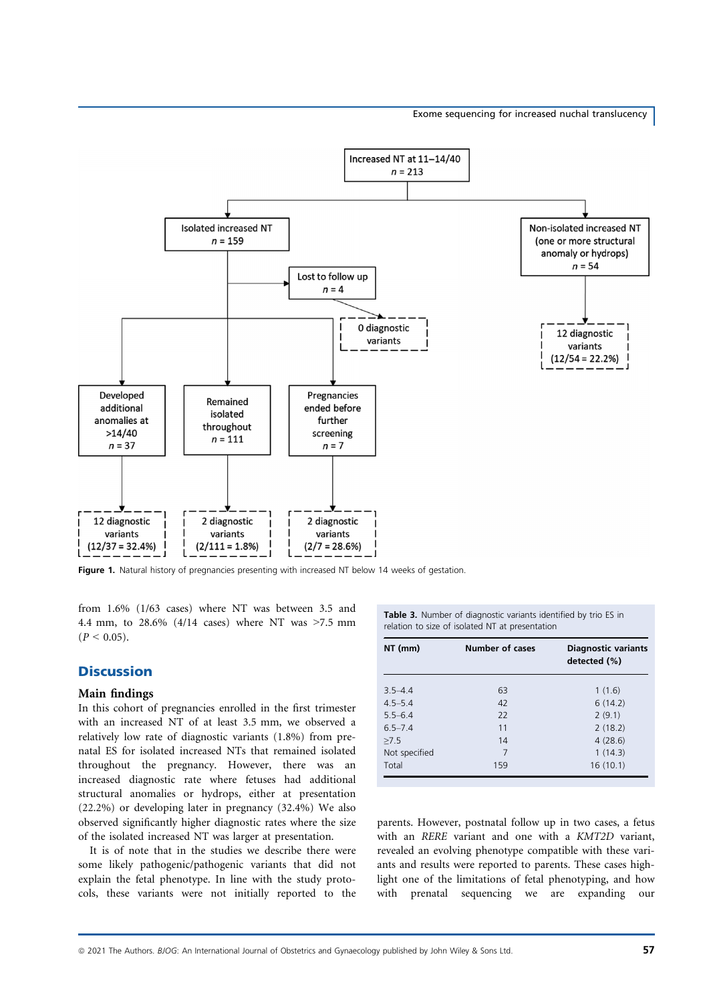

Figure 1. Natural history of pregnancies presenting with increased NT below 14 weeks of gestation.

from 1.6% (1/63 cases) where NT was between 3.5 and 4.4 mm, to 28.6% (4/14 cases) where NT was >7.5 mm  $(P < 0.05)$ .

## **Discussion**

#### Main findings

In this cohort of pregnancies enrolled in the first trimester with an increased NT of at least 3.5 mm, we observed a relatively low rate of diagnostic variants (1.8%) from prenatal ES for isolated increased NTs that remained isolated throughout the pregnancy. However, there was an increased diagnostic rate where fetuses had additional structural anomalies or hydrops, either at presentation (22.2%) or developing later in pregnancy (32.4%) We also observed significantly higher diagnostic rates where the size of the isolated increased NT was larger at presentation.

It is of note that in the studies we describe there were some likely pathogenic/pathogenic variants that did not explain the fetal phenotype. In line with the study protocols, these variants were not initially reported to the

Table 3. Number of diagnostic variants identified by trio ES in relation to size of isolated NT at presentation

| NT (mm)       | <b>Number of cases</b> | <b>Diagnostic variants</b><br>detected (%) |
|---------------|------------------------|--------------------------------------------|
| $3.5 - 4.4$   | 63                     | 1(1.6)                                     |
| $4.5 - 5.4$   | 42                     | 6(14.2)                                    |
| $5.5 - 6.4$   | 22                     | 2(9.1)                                     |
| $6.5 - 7.4$   | 11                     | 2(18.2)                                    |
| >7.5          | 14                     | 4(28.6)                                    |
| Not specified | 7                      | 1(14.3)                                    |
| Total         | 159                    | 16(10.1)                                   |

parents. However, postnatal follow up in two cases, a fetus with an RERE variant and one with a KMT2D variant, revealed an evolving phenotype compatible with these variants and results were reported to parents. These cases highlight one of the limitations of fetal phenotyping, and how with prenatal sequencing we are expanding our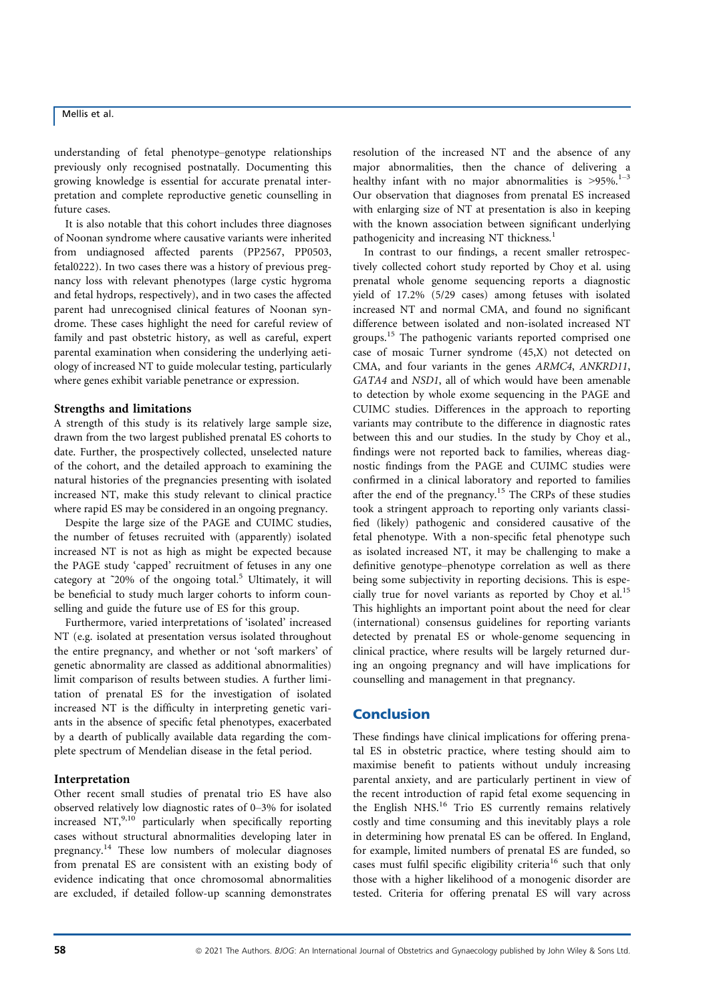understanding of fetal phenotype–genotype relationships previously only recognised postnatally. Documenting this growing knowledge is essential for accurate prenatal interpretation and complete reproductive genetic counselling in future cases.

It is also notable that this cohort includes three diagnoses of Noonan syndrome where causative variants were inherited from undiagnosed affected parents (PP2567, PP0503, fetal0222). In two cases there was a history of previous pregnancy loss with relevant phenotypes (large cystic hygroma and fetal hydrops, respectively), and in two cases the affected parent had unrecognised clinical features of Noonan syndrome. These cases highlight the need for careful review of family and past obstetric history, as well as careful, expert parental examination when considering the underlying aetiology of increased NT to guide molecular testing, particularly where genes exhibit variable penetrance or expression.

#### Strengths and limitations

A strength of this study is its relatively large sample size, drawn from the two largest published prenatal ES cohorts to date. Further, the prospectively collected, unselected nature of the cohort, and the detailed approach to examining the natural histories of the pregnancies presenting with isolated increased NT, make this study relevant to clinical practice where rapid ES may be considered in an ongoing pregnancy.

Despite the large size of the PAGE and CUIMC studies, the number of fetuses recruited with (apparently) isolated increased NT is not as high as might be expected because the PAGE study 'capped' recruitment of fetuses in any one category at  $\degree$ 20% of the ongoing total.<sup>5</sup> Ultimately, it will be beneficial to study much larger cohorts to inform counselling and guide the future use of ES for this group.

Furthermore, varied interpretations of 'isolated' increased NT (e.g. isolated at presentation versus isolated throughout the entire pregnancy, and whether or not 'soft markers' of genetic abnormality are classed as additional abnormalities) limit comparison of results between studies. A further limitation of prenatal ES for the investigation of isolated increased NT is the difficulty in interpreting genetic variants in the absence of specific fetal phenotypes, exacerbated by a dearth of publically available data regarding the complete spectrum of Mendelian disease in the fetal period.

#### Interpretation

Other recent small studies of prenatal trio ES have also observed relatively low diagnostic rates of 0–3% for isolated increased  $NT<sub>1</sub><sup>9,10</sup>$  particularly when specifically reporting cases without structural abnormalities developing later in pregnancy.<sup>14</sup> These low numbers of molecular diagnoses from prenatal ES are consistent with an existing body of evidence indicating that once chromosomal abnormalities are excluded, if detailed follow-up scanning demonstrates

resolution of the increased NT and the absence of any major abnormalities, then the chance of delivering a healthy infant with no major abnormalities is  $>95\%$ .<sup>1-3</sup> Our observation that diagnoses from prenatal ES increased with enlarging size of NT at presentation is also in keeping with the known association between significant underlying pathogenicity and increasing NT thickness.<sup>1</sup>

In contrast to our findings, a recent smaller retrospectively collected cohort study reported by Choy et al. using prenatal whole genome sequencing reports a diagnostic yield of 17.2% (5/29 cases) among fetuses with isolated increased NT and normal CMA, and found no significant difference between isolated and non-isolated increased NT groups.15 The pathogenic variants reported comprised one case of mosaic Turner syndrome (45,X) not detected on CMA, and four variants in the genes ARMC4, ANKRD11, GATA4 and NSD1, all of which would have been amenable to detection by whole exome sequencing in the PAGE and CUIMC studies. Differences in the approach to reporting variants may contribute to the difference in diagnostic rates between this and our studies. In the study by Choy et al., findings were not reported back to families, whereas diagnostic findings from the PAGE and CUIMC studies were confirmed in a clinical laboratory and reported to families after the end of the pregnancy.<sup>15</sup> The CRPs of these studies took a stringent approach to reporting only variants classified (likely) pathogenic and considered causative of the fetal phenotype. With a non-specific fetal phenotype such as isolated increased NT, it may be challenging to make a definitive genotype–phenotype correlation as well as there being some subjectivity in reporting decisions. This is especially true for novel variants as reported by Choy et al.<sup>15</sup> This highlights an important point about the need for clear (international) consensus guidelines for reporting variants detected by prenatal ES or whole-genome sequencing in clinical practice, where results will be largely returned during an ongoing pregnancy and will have implications for counselling and management in that pregnancy.

## Conclusion

These findings have clinical implications for offering prenatal ES in obstetric practice, where testing should aim to maximise benefit to patients without unduly increasing parental anxiety, and are particularly pertinent in view of the recent introduction of rapid fetal exome sequencing in the English NHS.<sup>16</sup> Trio ES currently remains relatively costly and time consuming and this inevitably plays a role in determining how prenatal ES can be offered. In England, for example, limited numbers of prenatal ES are funded, so cases must fulfil specific eligibility criteria<sup>16</sup> such that only those with a higher likelihood of a monogenic disorder are tested. Criteria for offering prenatal ES will vary across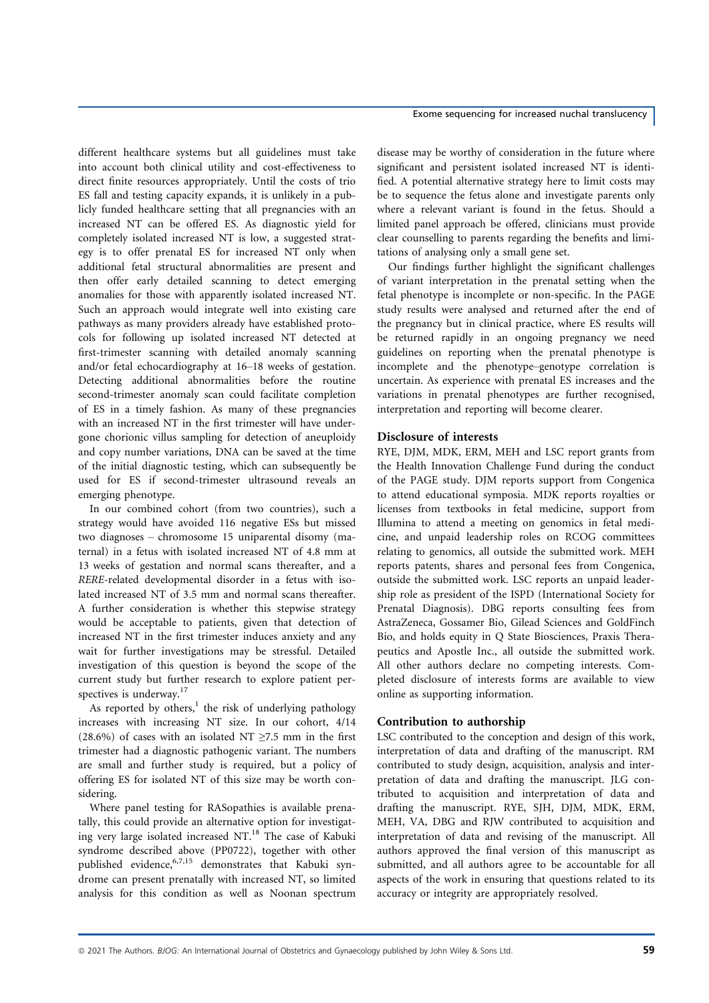different healthcare systems but all guidelines must take into account both clinical utility and cost-effectiveness to direct finite resources appropriately. Until the costs of trio ES fall and testing capacity expands, it is unlikely in a publicly funded healthcare setting that all pregnancies with an increased NT can be offered ES. As diagnostic yield for completely isolated increased NT is low, a suggested strategy is to offer prenatal ES for increased NT only when additional fetal structural abnormalities are present and then offer early detailed scanning to detect emerging anomalies for those with apparently isolated increased NT. Such an approach would integrate well into existing care pathways as many providers already have established protocols for following up isolated increased NT detected at first-trimester scanning with detailed anomaly scanning and/or fetal echocardiography at 16–18 weeks of gestation. Detecting additional abnormalities before the routine second-trimester anomaly scan could facilitate completion of ES in a timely fashion. As many of these pregnancies with an increased NT in the first trimester will have undergone chorionic villus sampling for detection of aneuploidy and copy number variations, DNA can be saved at the time of the initial diagnostic testing, which can subsequently be used for ES if second-trimester ultrasound reveals an emerging phenotype.

In our combined cohort (from two countries), such a strategy would have avoided 116 negative ESs but missed two diagnoses – chromosome 15 uniparental disomy (maternal) in a fetus with isolated increased NT of 4.8 mm at 13 weeks of gestation and normal scans thereafter, and a RERE-related developmental disorder in a fetus with isolated increased NT of 3.5 mm and normal scans thereafter. A further consideration is whether this stepwise strategy would be acceptable to patients, given that detection of increased NT in the first trimester induces anxiety and any wait for further investigations may be stressful. Detailed investigation of this question is beyond the scope of the current study but further research to explore patient perspectives is underway.<sup>17</sup>

As reported by others, $<sup>1</sup>$  the risk of underlying pathology</sup> increases with increasing NT size. In our cohort, 4/14 (28.6%) of cases with an isolated NT  $\geq$ 7.5 mm in the first trimester had a diagnostic pathogenic variant. The numbers are small and further study is required, but a policy of offering ES for isolated NT of this size may be worth considering.

Where panel testing for RASopathies is available prenatally, this could provide an alternative option for investigating very large isolated increased NT.18 The case of Kabuki syndrome described above (PP0722), together with other published evidence,6,7,15 demonstrates that Kabuki syndrome can present prenatally with increased NT, so limited analysis for this condition as well as Noonan spectrum

disease may be worthy of consideration in the future where significant and persistent isolated increased NT is identified. A potential alternative strategy here to limit costs may be to sequence the fetus alone and investigate parents only where a relevant variant is found in the fetus. Should a limited panel approach be offered, clinicians must provide clear counselling to parents regarding the benefits and limitations of analysing only a small gene set.

Our findings further highlight the significant challenges of variant interpretation in the prenatal setting when the fetal phenotype is incomplete or non-specific. In the PAGE study results were analysed and returned after the end of the pregnancy but in clinical practice, where ES results will be returned rapidly in an ongoing pregnancy we need guidelines on reporting when the prenatal phenotype is incomplete and the phenotype–genotype correlation is uncertain. As experience with prenatal ES increases and the variations in prenatal phenotypes are further recognised, interpretation and reporting will become clearer.

## Disclosure of interests

RYE, DJM, MDK, ERM, MEH and LSC report grants from the Health Innovation Challenge Fund during the conduct of the PAGE study. DJM reports support from Congenica to attend educational symposia. MDK reports royalties or licenses from textbooks in fetal medicine, support from Illumina to attend a meeting on genomics in fetal medicine, and unpaid leadership roles on RCOG committees relating to genomics, all outside the submitted work. MEH reports patents, shares and personal fees from Congenica, outside the submitted work. LSC reports an unpaid leadership role as president of the ISPD (International Society for Prenatal Diagnosis). DBG reports consulting fees from AstraZeneca, Gossamer Bio, Gilead Sciences and GoldFinch Bio, and holds equity in Q State Biosciences, Praxis Therapeutics and Apostle Inc., all outside the submitted work. All other authors declare no competing interests. Completed disclosure of interests forms are available to view online as supporting information.

#### Contribution to authorship

LSC contributed to the conception and design of this work, interpretation of data and drafting of the manuscript. RM contributed to study design, acquisition, analysis and interpretation of data and drafting the manuscript. JLG contributed to acquisition and interpretation of data and drafting the manuscript. RYE, SJH, DJM, MDK, ERM, MEH, VA, DBG and RJW contributed to acquisition and interpretation of data and revising of the manuscript. All authors approved the final version of this manuscript as submitted, and all authors agree to be accountable for all aspects of the work in ensuring that questions related to its accuracy or integrity are appropriately resolved.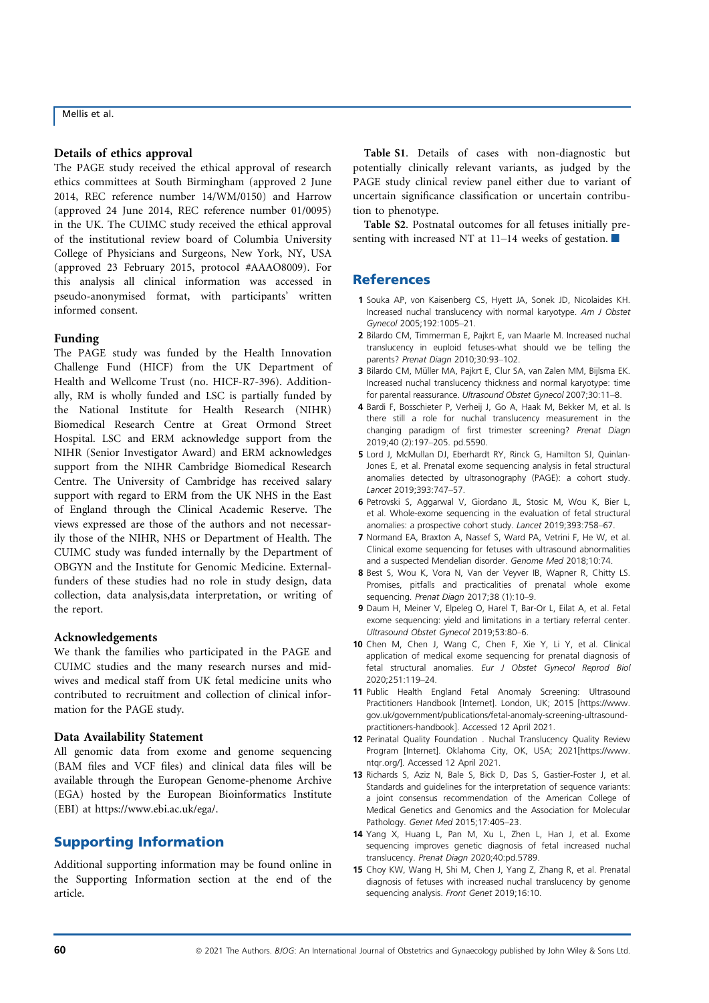#### Details of ethics approval

The PAGE study received the ethical approval of research ethics committees at South Birmingham (approved 2 June 2014, REC reference number 14/WM/0150) and Harrow (approved 24 June 2014, REC reference number 01/0095) in the UK. The CUIMC study received the ethical approval of the institutional review board of Columbia University College of Physicians and Surgeons, New York, NY, USA (approved 23 February 2015, protocol #AAAO8009). For this analysis all clinical information was accessed in pseudo-anonymised format, with participants' written informed consent.

#### Funding

The PAGE study was funded by the Health Innovation Challenge Fund (HICF) from the UK Department of Health and Wellcome Trust (no. HICF-R7-396). Additionally, RM is wholly funded and LSC is partially funded by the National Institute for Health Research (NIHR) Biomedical Research Centre at Great Ormond Street Hospital. LSC and ERM acknowledge support from the NIHR (Senior Investigator Award) and ERM acknowledges support from the NIHR Cambridge Biomedical Research Centre. The University of Cambridge has received salary support with regard to ERM from the UK NHS in the East of England through the Clinical Academic Reserve. The views expressed are those of the authors and not necessarily those of the NIHR, NHS or Department of Health. The CUIMC study was funded internally by the Department of OBGYN and the Institute for Genomic Medicine. Externalfunders of these studies had no role in study design, data collection, data analysis,data interpretation, or writing of the report.

## Acknowledgements

We thank the families who participated in the PAGE and CUIMC studies and the many research nurses and midwives and medical staff from UK fetal medicine units who contributed to recruitment and collection of clinical information for the PAGE study.

#### Data Availability Statement

All genomic data from exome and genome sequencing (BAM files and VCF files) and clinical data files will be available through the European Genome-phenome Archive (EGA) hosted by the European Bioinformatics Institute (EBI) at<https://www.ebi.ac.uk/ega/>.

## Supporting Information

Additional supporting information may be found online in the Supporting Information section at the end of the article.

Table S1. Details of cases with non-diagnostic but potentially clinically relevant variants, as judged by the PAGE study clinical review panel either due to variant of uncertain significance classification or uncertain contribution to phenotype.

Table S2. Postnatal outcomes for all fetuses initially presenting with increased NT at 11–14 weeks of gestation.  $\blacksquare$ 

## **References**

- 1 Souka AP, von Kaisenberg CS, Hyett JA, Sonek JD, Nicolaides KH. Increased nuchal translucency with normal karyotype. Am J Obstet Gynecol 2005;192:1005–21.
- 2 Bilardo CM, Timmerman E, Pajkrt E, van Maarle M. Increased nuchal translucency in euploid fetuses-what should we be telling the parents? Prenat Diagn 2010;30:93–102.
- 3 Bilardo CM, Müller MA, Pajkrt E, Clur SA, van Zalen MM, Bijlsma EK. Increased nuchal translucency thickness and normal karyotype: time for parental reassurance. Ultrasound Obstet Gynecol 2007;30:11–8.
- 4 Bardi F, Bosschieter P, Verheij J, Go A, Haak M, Bekker M, et al. Is there still a role for nuchal translucency measurement in the changing paradigm of first trimester screening? Prenat Diagn 2019;40 (2):197–205. pd.5590.
- 5 Lord J, McMullan DJ, Eberhardt RY, Rinck G, Hamilton SJ, Quinlan-Jones E, et al. Prenatal exome sequencing analysis in fetal structural anomalies detected by ultrasonography (PAGE): a cohort study. Lancet 2019;393:747–57.
- 6 Petrovski S, Aggarwal V, Giordano JL, Stosic M, Wou K, Bier L, et al. Whole-exome sequencing in the evaluation of fetal structural anomalies: a prospective cohort study. Lancet 2019;393:758–67.
- 7 Normand EA, Braxton A, Nassef S, Ward PA, Vetrini F, He W, et al. Clinical exome sequencing for fetuses with ultrasound abnormalities and a suspected Mendelian disorder. Genome Med 2018;10:74.
- 8 Best S, Wou K, Vora N, Van der Veyver IB, Wapner R, Chitty LS. Promises, pitfalls and practicalities of prenatal whole exome sequencing. Prenat Diagn 2017;38 (1):10-9.
- 9 Daum H, Meiner V, Elpeleg O, Harel T, Bar-Or L, Eilat A, et al. Fetal exome sequencing: yield and limitations in a tertiary referral center. Ultrasound Obstet Gynecol 2019;53:80–6.
- 10 Chen M, Chen J, Wang C, Chen F, Xie Y, Li Y, et al. Clinical application of medical exome sequencing for prenatal diagnosis of fetal structural anomalies. Eur J Obstet Gynecol Reprod Biol 2020;251:119–24.
- 11 Public Health England Fetal Anomaly Screening: Ultrasound Practitioners Handbook [Internet]. London, UK; 2015 [\[https://www.](https://www.gov.uk/government/publications/fetal-anomaly-screening-ultrasound-practitioners-handbook) [gov.uk/government/publications/fetal-anomaly-screening-ultrasound](https://www.gov.uk/government/publications/fetal-anomaly-screening-ultrasound-practitioners-handbook)[practitioners-handbook\]](https://www.gov.uk/government/publications/fetal-anomaly-screening-ultrasound-practitioners-handbook). Accessed 12 April 2021.
- 12 Perinatal Quality Foundation . Nuchal Translucency Quality Review Program [Internet]. Oklahoma City, OK, USA; 2021[\[https://www.](https://www.ntqr.org/) [ntqr.org/\]](https://www.ntqr.org/). Accessed 12 April 2021.
- 13 Richards S, Aziz N, Bale S, Bick D, Das S, Gastier-Foster J, et al. Standards and quidelines for the interpretation of sequence variants: a joint consensus recommendation of the American College of Medical Genetics and Genomics and the Association for Molecular Pathology. Genet Med 2015;17:405–23.
- 14 Yang X, Huang L, Pan M, Xu L, Zhen L, Han J, et al. Exome sequencing improves genetic diagnosis of fetal increased nuchal translucency. Prenat Diagn 2020;40:pd.5789.
- 15 Choy KW, Wang H, Shi M, Chen J, Yang Z, Zhang R, et al. Prenatal diagnosis of fetuses with increased nuchal translucency by genome sequencing analysis. Front Genet 2019;16:10.